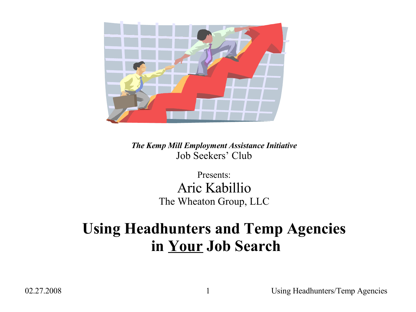

*The Kemp Mill Employment Assistance Initiative* Job Seekers' Club

> Presents: Aric Kabillio The Wheaton Group, LLC

#### **Using Headhunters and Temp Agencies in Your Job Search**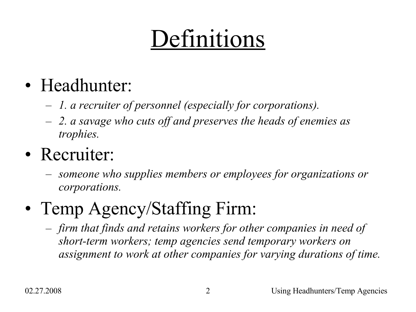# Definitions

## • Headhunter:

- *1. a recruiter of personnel (especially for corporations).*
- *2. a savage who cuts off and preserves the heads of enemies as trophies.*

## • Recruiter:

– *someone who supplies members or employees for organizations or corporations.*

## • Temp Agency/Staffing Firm:

– *firm that finds and retains workers for other companies in need of short-term workers; temp agencies send temporary workers on assignment to work at other companies for varying durations of time.*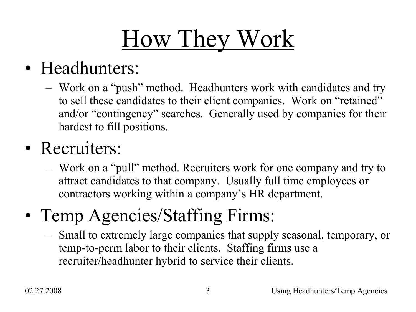# How They Work

### • Headhunters:

– Work on a "push" method. Headhunters work with candidates and try to sell these candidates to their client companies. Work on "retained" and/or "contingency" searches. Generally used by companies for their hardest to fill positions.

### • Recruiters:

– Work on a "pull" method. Recruiters work for one company and try to attract candidates to that company. Usually full time employees or contractors working within a company's HR department.

## • Temp Agencies/Staffing Firms:

– Small to extremely large companies that supply seasonal, temporary, or temp-to-perm labor to their clients. Staffing firms use a recruiter/headhunter hybrid to service their clients.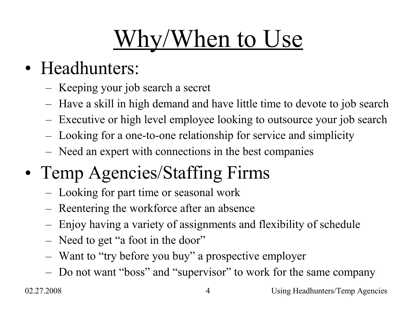# Why/When to Use

## • Headhunters:

- Keeping your job search a secret
- Have a skill in high demand and have little time to devote to job search
- Executive or high level employee looking to outsource your job search
- Looking for a one-to-one relationship for service and simplicity
- Need an expert with connections in the best companies
- Temp Agencies/Staffing Firms
	- Looking for part time or seasonal work
	- Reentering the workforce after an absence
	- Enjoy having a variety of assignments and flexibility of schedule
	- Need to get "a foot in the door"
	- Want to "try before you buy" a prospective employer
	- Do not want "boss" and "supervisor" to work for the same company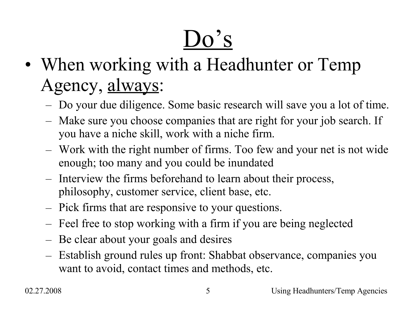# $Do's$

- When working with a Headhunter or Temp Agency, always:
	- Do your due diligence. Some basic research will save you a lot of time.
	- Make sure you choose companies that are right for your job search. If you have a niche skill, work with a niche firm.
	- Work with the right number of firms. Too few and your net is not wide enough; too many and you could be inundated
	- Interview the firms beforehand to learn about their process, philosophy, customer service, client base, etc.
	- Pick firms that are responsive to your questions.
	- Feel free to stop working with a firm if you are being neglected
	- Be clear about your goals and desires
	- Establish ground rules up front: Shabbat observance, companies you want to avoid, contact times and methods, etc.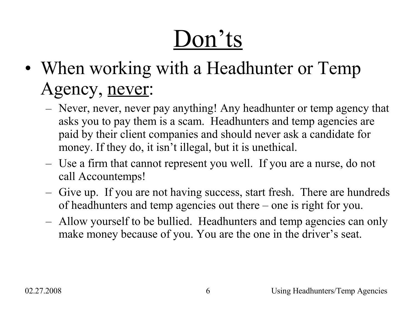# Don'ts

- When working with a Headhunter or Temp Agency, never:
	- Never, never, never pay anything! Any headhunter or temp agency that asks you to pay them is a scam. Headhunters and temp agencies are paid by their client companies and should never ask a candidate for money. If they do, it isn't illegal, but it is unethical.
	- Use a firm that cannot represent you well. If you are a nurse, do not call Accountemps!
	- Give up. If you are not having success, start fresh. There are hundreds of headhunters and temp agencies out there – one is right for you.
	- Allow yourself to be bullied. Headhunters and temp agencies can only make money because of you. You are the one in the driver's seat.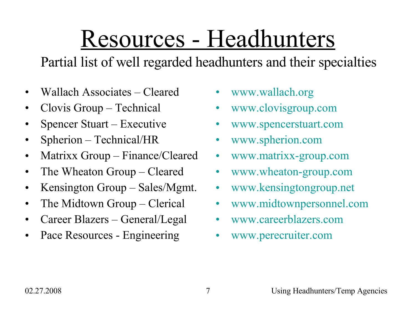# Resources - Headhunters

Partial list of well regarded headhunters and their specialties

- Wallach Associates Cleared
- Clovis Group Technical
- Spencer Stuart Executive
- Spherion Technical/HR
- Matrixx Group Finance/Cleared
- The Wheaton Group Cleared
- Kensington Group Sales/Mgmt.
- The Midtown Group Clerical
- Career Blazers General/Legal
- Pace Resources Engineering
- [www.wallach.org](http://www.wallach.org/)
- [www.clovisgroup.com](http://www.clovisgroup.com/)
- [www.spencerstuart.com](http://www.spencerstuart.com/)
- [www.spherion.com](http://www.spherion.com/)
- [www.matrixx-group.com](http://www.matrixx-group.com/)
- [www.wheaton-group.com](http://www.wheaton-group.com/)
- [www.kensingtongroup.net](http://www.kensingtongroup.net/)
- [www.midtownpersonnel.com](http://www.midtownpersonnel.com/)
- [www.careerblazers.com](http://www.careerblazers.com/)
- [www.perecruiter.com](http://www.perecruiter.com/)